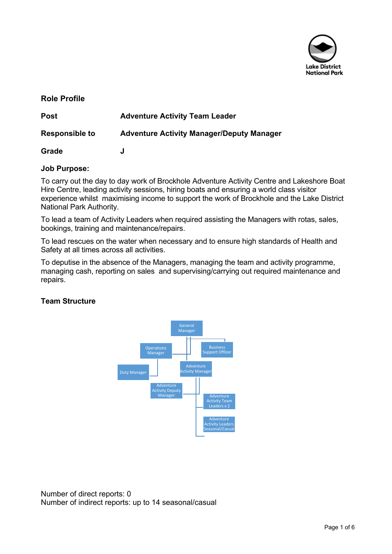

# **Role Profile**

| <b>Post</b>           | <b>Adventure Activity Team Leader</b>            |  |
|-----------------------|--------------------------------------------------|--|
| <b>Responsible to</b> | <b>Adventure Activity Manager/Deputy Manager</b> |  |
| Grade                 |                                                  |  |

## **Job Purpose:**

To carry out the day to day work of Brockhole Adventure Activity Centre and Lakeshore Boat Hire Centre, leading activity sessions, hiring boats and ensuring a world class visitor experience whilst maximising income to support the work of Brockhole and the Lake District National Park Authority.

To lead a team of Activity Leaders when required assisting the Managers with rotas, sales, bookings, training and maintenance/repairs.

To lead rescues on the water when necessary and to ensure high standards of Health and Safety at all times across all activities.

To deputise in the absence of the Managers, managing the team and activity programme, managing cash, reporting on sales and supervising/carrying out required maintenance and repairs.

# **Team Structure**



Number of direct reports: 0 Number of indirect reports: up to 14 seasonal/casual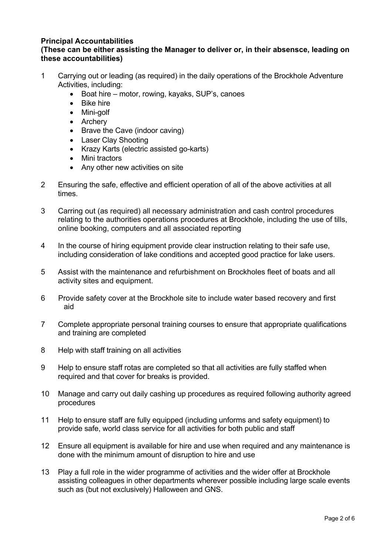## **Principal Accountabilities**

## **(These can be either assisting the Manager to deliver or, in their absensce, leading on these accountabilities)**

- 1 Carrying out or leading (as required) in the daily operations of the Brockhole Adventure Activities, including:
	- Boat hire motor, rowing, kayaks, SUP's, canoes
	- Bike hire
	- Mini-golf
	- Archery
	- Brave the Cave (indoor caving)
	- Laser Clay Shooting
	- Krazy Karts (electric assisted go-karts)
	- Mini tractors
	- Any other new activities on site
- 2 Ensuring the safe, effective and efficient operation of all of the above activities at all times.
- 3 Carring out (as required) all necessary administration and cash control procedures relating to the authorities operations procedures at Brockhole, including the use of tills, online booking, computers and all associated reporting
- 4 In the course of hiring equipment provide clear instruction relating to their safe use, including consideration of lake conditions and accepted good practice for lake users.
- 5 Assist with the maintenance and refurbishment on Brockholes fleet of boats and all activity sites and equipment.
- 6 Provide safety cover at the Brockhole site to include water based recovery and first aid
- 7 Complete appropriate personal training courses to ensure that appropriate qualifications and training are completed
- 8 Help with staff training on all activities
- 9 Help to ensure staff rotas are completed so that all activities are fully staffed when required and that cover for breaks is provided.
- 10 Manage and carry out daily cashing up procedures as required following authority agreed procedures
- 11 Help to ensure staff are fully equipped (including unforms and safety equipment) to provide safe, world class service for all activities for both public and staff
- 12 Ensure all equipment is available for hire and use when required and any maintenance is done with the minimum amount of disruption to hire and use
- 13 Play a full role in the wider programme of activities and the wider offer at Brockhole assisting colleagues in other departments wherever possible including large scale events such as (but not exclusively) Halloween and GNS.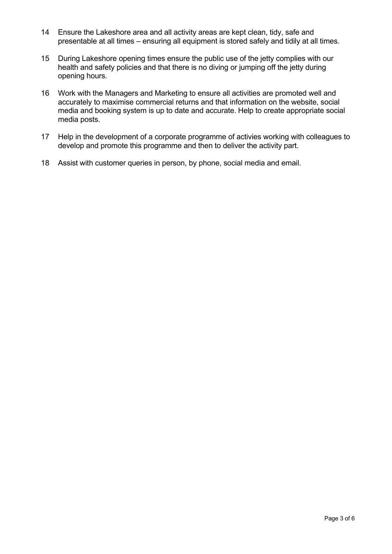- 14 Ensure the Lakeshore area and all activity areas are kept clean, tidy, safe and presentable at all times – ensuring all equipment is stored safely and tidily at all times.
- 15 During Lakeshore opening times ensure the public use of the jetty complies with our health and safety policies and that there is no diving or jumping off the jetty during opening hours.
- 16 Work with the Managers and Marketing to ensure all activities are promoted well and accurately to maximise commercial returns and that information on the website, social media and booking system is up to date and accurate. Help to create appropriate social media posts.
- 17 Help in the development of a corporate programme of activies working with colleagues to develop and promote this programme and then to deliver the activity part.
- 18 Assist with customer queries in person, by phone, social media and email.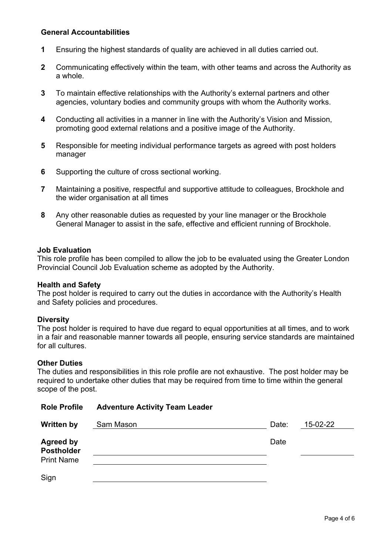## **General Accountabilities**

- **1** Ensuring the highest standards of quality are achieved in all duties carried out.
- **2** Communicating effectively within the team, with other teams and across the Authority as a whole.
- **3** To maintain effective relationships with the Authority's external partners and other agencies, voluntary bodies and community groups with whom the Authority works.
- **4** Conducting all activities in a manner in line with the Authority's Vision and Mission, promoting good external relations and a positive image of the Authority.
- **5** Responsible for meeting individual performance targets as agreed with post holders manager
- **6** Supporting the culture of cross sectional working.

**Role Profile Adventure Activity Team Leader**

- **7** Maintaining a positive, respectful and supportive attitude to colleagues, Brockhole and the wider organisation at all times
- **8** Any other reasonable duties as requested by your line manager or the Brockhole General Manager to assist in the safe, effective and efficient running of Brockhole.

#### **Job Evaluation**

This role profile has been compiled to allow the job to be evaluated using the Greater London Provincial Council Job Evaluation scheme as adopted by the Authority.

#### **Health and Safety**

The post holder is required to carry out the duties in accordance with the Authority's Health and Safety policies and procedures.

#### **Diversity**

The post holder is required to have due regard to equal opportunities at all times, and to work in a fair and reasonable manner towards all people, ensuring service standards are maintained for all cultures.

#### **Other Duties**

The duties and responsibilities in this role profile are not exhaustive. The post holder may be required to undertake other duties that may be required from time to time within the general scope of the post.

| ROJE PTONIE                                                | <b>Adventure Activity Team Leager</b> |       |          |  |
|------------------------------------------------------------|---------------------------------------|-------|----------|--|
| <b>Written by</b>                                          | Sam Mason                             | Date: | 15-02-22 |  |
| <b>Agreed by</b><br><b>Postholder</b><br><b>Print Name</b> |                                       | Date  |          |  |
| Sign                                                       |                                       |       |          |  |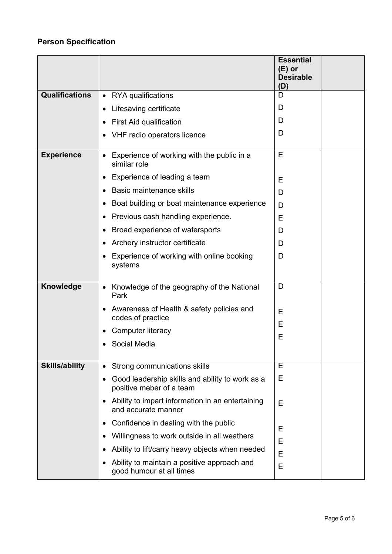# **Person Specification**

|                       |                                                                                          | <b>Essential</b><br>$(E)$ or<br><b>Desirable</b><br>(D) |
|-----------------------|------------------------------------------------------------------------------------------|---------------------------------------------------------|
| <b>Qualifications</b> | <b>RYA</b> qualifications<br>$\bullet$                                                   | D                                                       |
|                       | Lifesaving certificate<br>$\bullet$                                                      | D                                                       |
|                       | First Aid qualification<br>$\bullet$                                                     | D                                                       |
|                       | VHF radio operators licence<br>$\bullet$                                                 | D                                                       |
| <b>Experience</b>     | Experience of working with the public in a<br>$\bullet$<br>similar role                  | Е                                                       |
|                       | Experience of leading a team<br>$\bullet$                                                | Е                                                       |
|                       | <b>Basic maintenance skills</b><br>$\bullet$                                             | D                                                       |
|                       | Boat building or boat maintenance experience                                             | D                                                       |
|                       | Previous cash handling experience.<br>٠                                                  | E                                                       |
|                       | Broad experience of watersports<br>$\bullet$                                             | D                                                       |
|                       | Archery instructor certificate                                                           | D                                                       |
|                       | Experience of working with online booking<br>systems                                     | D                                                       |
| Knowledge             | Knowledge of the geography of the National<br>$\bullet$<br>Park                          | D                                                       |
|                       | Awareness of Health & safety policies and<br>$\bullet$<br>codes of practice              | E                                                       |
|                       | Computer literacy                                                                        | Е                                                       |
|                       | Social Media                                                                             | Е                                                       |
| <b>Skills/ability</b> | Strong communications skills<br>$\bullet$                                                | E                                                       |
|                       | Good leadership skills and ability to work as a<br>$\bullet$<br>positive meber of a team | Е                                                       |
|                       | Ability to impart information in an entertaining<br>$\bullet$<br>and accurate manner     | Е                                                       |
|                       | Confidence in dealing with the public<br>٠                                               | Е                                                       |
|                       | Willingness to work outside in all weathers<br>$\bullet$                                 | Е                                                       |
|                       | Ability to lift/carry heavy objects when needed<br>$\bullet$                             | E                                                       |
|                       | Ability to maintain a positive approach and<br>$\bullet$<br>good humour at all times     | E                                                       |